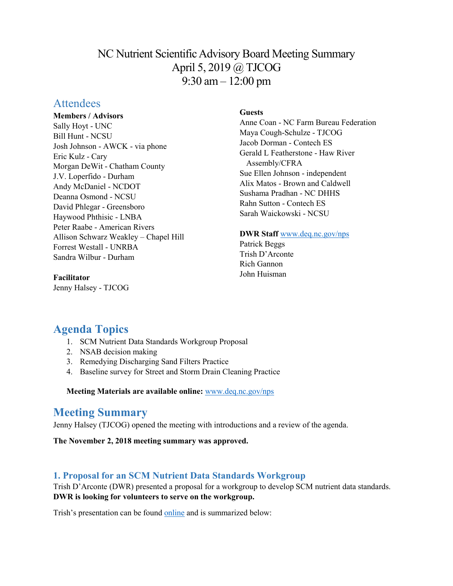## NC Nutrient Scientific Advisory Board Meeting Summary April 5, 2019 @ TJCOG 9:30 am – 12:00 pm

## **Attendees**

#### **Members / Advisors**

Sally Hoyt - UNC Bill Hunt - NCSU Josh Johnson - AWCK - via phone Eric Kulz - Cary Morgan DeWit - Chatham County J.V. Loperfido - Durham Andy McDaniel - NCDOT Deanna Osmond - NCSU David Phlegar - Greensboro Haywood Phthisic - LNBA Peter Raabe - American Rivers Allison Schwarz Weakley – Chapel Hill Forrest Westall - UNRBA Sandra Wilbur - Durham

## **Facilitator**

Jenny Halsey - TJCOG

## **Guests**

Anne Coan - NC Farm Bureau Federation Maya Cough-Schulze - TJCOG Jacob Dorman - Contech ES Gerald L Featherstone - Haw River Assembly/CFRA Sue Ellen Johnson - independent Alix Matos - Brown and Caldwell Sushama Pradhan - NC DHHS Rahn Sutton - Contech ES Sarah Waickowski - NCSU

#### **DWR Staff** [www.deq.nc.gov/nps](http://www.deq.nc.gov/nps)

Patrick Beggs Trish D'Arconte Rich Gannon John Huisman

# **Agenda Topics**

- 1. SCM Nutrient Data Standards Workgroup Proposal
- 2. NSAB decision making
- 3. Remedying Discharging Sand Filters Practice
- 4. Baseline survey for Street and Storm Drain Cleaning Practice

**Meeting Materials are available online:** [www.deq.nc.gov/nps](https://deq.nc.gov/about/divisions/water-resources/planning/nonpoint-source-management/nutrient-scientific-advisory-board/meeting-documents)

# **Meeting Summary**

Jenny Halsey (TJCOG) opened the meeting with introductions and a review of the agenda.

**The November 2, 2018 meeting summary was approved.** 

## **1. Proposal for an SCM Nutrient Data Standards Workgroup**

Trish D'Arconte (DWR) presented a proposal for a workgroup to develop SCM nutrient data standards. **DWR is looking for volunteers to serve on the workgroup.** 

Trish's presentation can be found [online](https://deq.nc.gov/about/divisions/water-resources/planning/nonpoint-source-management/nutrient-scientific-advisory-board/meeting-documents) and is summarized below: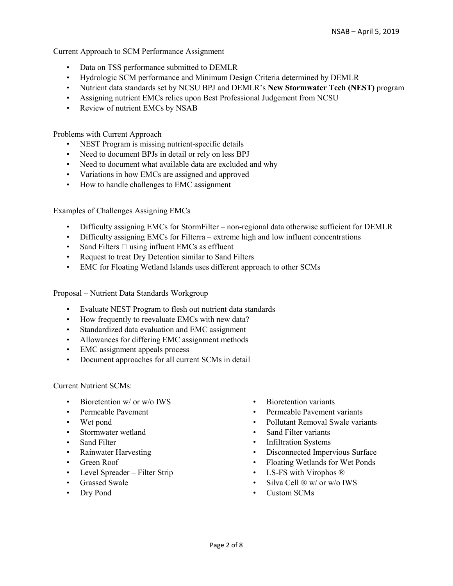Current Approach to SCM Performance Assignment

- Data on TSS performance submitted to DEMLR
- Hydrologic SCM performance and Minimum Design Criteria determined by DEMLR
- Nutrient data standards set by NCSU BPJ and DEMLR's **New Stormwater Tech (NEST)** program
- Assigning nutrient EMCs relies upon Best Professional Judgement from NCSU
- Review of nutrient EMCs by NSAB

Problems with Current Approach

- NEST Program is missing nutrient-specific details
- Need to document BPJs in detail or rely on less BPJ
- Need to document what available data are excluded and why
- Variations in how EMCs are assigned and approved
- How to handle challenges to EMC assignment

Examples of Challenges Assigning EMCs

- Difficulty assigning EMCs for StormFilter non-regional data otherwise sufficient for DEMLR
- Difficulty assigning EMCs for Filterra extreme high and low influent concentrations
- Sand Filters  $\Box$  using influent EMCs as effluent
- Request to treat Dry Detention similar to Sand Filters
- EMC for Floating Wetland Islands uses different approach to other SCMs

Proposal – Nutrient Data Standards Workgroup

- Evaluate NEST Program to flesh out nutrient data standards
- How frequently to reevaluate EMCs with new data?
- Standardized data evaluation and EMC assignment
- Allowances for differing EMC assignment methods
- EMC assignment appeals process
- Document approaches for all current SCMs in detail

Current Nutrient SCMs:

- Bioretention w/ or w/o IWS
- Permeable Pavement
- Wet pond
- Stormwater wetland
- Sand Filter
- Rainwater Harvesting
- Green Roof
- Level Spreader Filter Strip
- Grassed Swale
- Dry Pond
- **Bioretention variants**
- Permeable Pavement variants
- Pollutant Removal Swale variants
- Sand Filter variants
- **Infiltration Systems**
- Disconnected Impervious Surface
- Floating Wetlands for Wet Ponds
- LS-FS with Virophos ®
- Silva Cell ® w/ or w/o IWS
- Custom SCMs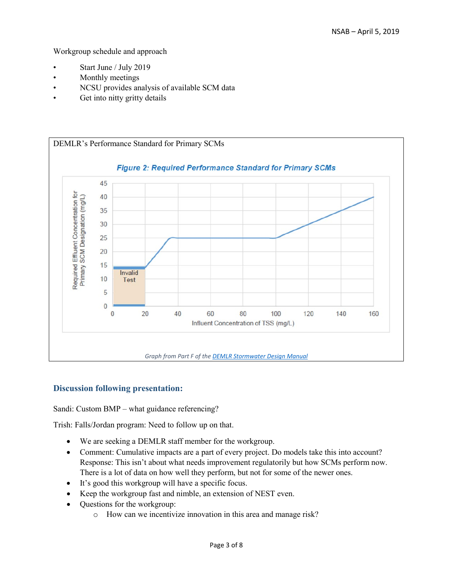Workgroup schedule and approach

- Start June / July 2019
- Monthly meetings
- NCSU provides analysis of available SCM data
- Get into nitty gritty details



## **Discussion following presentation:**

Sandi: Custom BMP – what guidance referencing?

Trish: Falls/Jordan program: Need to follow up on that.

- We are seeking a DEMLR staff member for the workgroup.
- Comment: Cumulative impacts are a part of every project. Do models take this into account? Response: This isn't about what needs improvement regulatorily but how SCMs perform now. There is a lot of data on how well they perform, but not for some of the newer ones.
- It's good this workgroup will have a specific focus.
- Keep the workgroup fast and nimble, an extension of NEST even.
- Questions for the workgroup:
	- o How can we incentivize innovation in this area and manage risk?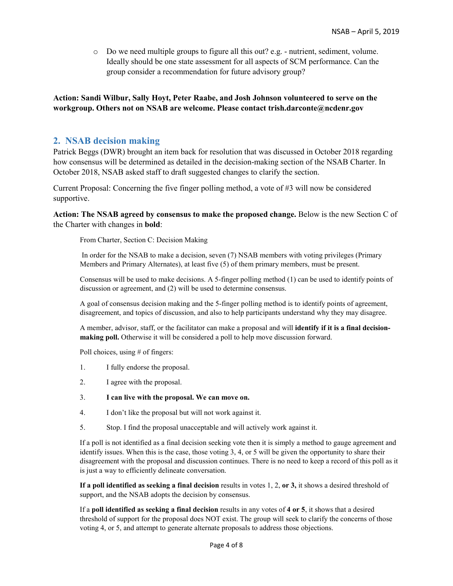o Do we need multiple groups to figure all this out? e.g. - nutrient, sediment, volume. Ideally should be one state assessment for all aspects of SCM performance. Can the group consider a recommendation for future advisory group?

**Action: Sandi Wilbur, Sally Hoyt, Peter Raabe, and Josh Johnson volunteered to serve on the workgroup. Others not on NSAB are welcome. Please contact trish.darconte@ncdenr.gov**

### **2. NSAB decision making**

Patrick Beggs (DWR) brought an item back for resolution that was discussed in October 2018 regarding how consensus will be determined as detailed in the decision-making section of the NSAB Charter. In October 2018, NSAB asked staff to draft suggested changes to clarify the section.

Current Proposal: Concerning the five finger polling method, a vote of #3 will now be considered supportive.

**Action: The NSAB agreed by consensus to make the proposed change.** Below is the new Section C of the Charter with changes in **bold**:

From Charter, Section C: Decision Making

In order for the NSAB to make a decision, seven (7) NSAB members with voting privileges (Primary Members and Primary Alternates), at least five (5) of them primary members, must be present.

Consensus will be used to make decisions. A 5-finger polling method (1) can be used to identify points of discussion or agreement, and (2) will be used to determine consensus.

A goal of consensus decision making and the 5-finger polling method is to identify points of agreement, disagreement, and topics of discussion, and also to help participants understand why they may disagree.

A member, advisor, staff, or the facilitator can make a proposal and will **identify if it is a final decisionmaking poll.** Otherwise it will be considered a poll to help move discussion forward.

Poll choices, using # of fingers:

- 1. I fully endorse the proposal.
- 2. I agree with the proposal.
- 3. **I can live with the proposal. We can move on.**
- 4. I don't like the proposal but will not work against it.
- 5. Stop. I find the proposal unacceptable and will actively work against it.

If a poll is not identified as a final decision seeking vote then it is simply a method to gauge agreement and identify issues. When this is the case, those voting 3, 4, or 5 will be given the opportunity to share their disagreement with the proposal and discussion continues. There is no need to keep a record of this poll as it is just a way to efficiently delineate conversation.

**If a poll identified as seeking a final decision** results in votes 1, 2, **or 3,** it shows a desired threshold of support, and the NSAB adopts the decision by consensus.

If a **poll identified as seeking a final decision** results in any votes of **4 or 5**, it shows that a desired threshold of support for the proposal does NOT exist. The group will seek to clarify the concerns of those voting 4, or 5, and attempt to generate alternate proposals to address those objections.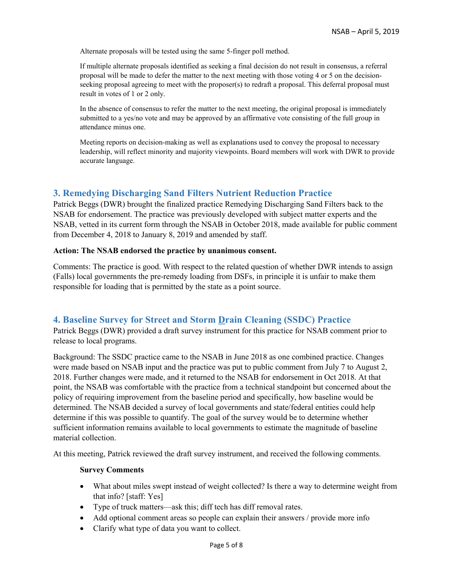Alternate proposals will be tested using the same 5-finger poll method.

If multiple alternate proposals identified as seeking a final decision do not result in consensus, a referral proposal will be made to defer the matter to the next meeting with those voting 4 or 5 on the decisionseeking proposal agreeing to meet with the proposer(s) to redraft a proposal. This deferral proposal must result in votes of 1 or 2 only.

In the absence of consensus to refer the matter to the next meeting, the original proposal is immediately submitted to a yes/no vote and may be approved by an affirmative vote consisting of the full group in attendance minus one.

Meeting reports on decision-making as well as explanations used to convey the proposal to necessary leadership, will reflect minority and majority viewpoints. Board members will work with DWR to provide accurate language.

#### **3. Remedying Discharging Sand Filters Nutrient Reduction Practice**

Patrick Beggs (DWR) brought the finalized practice Remedying Discharging Sand Filters back to the NSAB for endorsement. The practice was previously developed with subject matter experts and the NSAB, vetted in its current form through the NSAB in October 2018, made available for public comment from December 4, 2018 to January 8, 2019 and amended by staff.

#### **Action: The NSAB endorsed the practice by unanimous consent.**

Comments: The practice is good. With respect to the related question of whether DWR intends to assign (Falls) local governments the pre-remedy loading from DSFs, in principle it is unfair to make them responsible for loading that is permitted by the state as a point source.

#### **4. Baseline Survey for Street and Storm Drain Cleaning (SSDC) Practice**

Patrick Beggs (DWR) provided a draft survey instrument for this practice for NSAB comment prior to release to local programs.

Background: The SSDC practice came to the NSAB in June 2018 as one combined practice. Changes were made based on NSAB input and the practice was put to public comment from July 7 to August 2, 2018. Further changes were made, and it returned to the NSAB for endorsement in Oct 2018. At that point, the NSAB was comfortable with the practice from a technical standpoint but concerned about the policy of requiring improvement from the baseline period and specifically, how baseline would be determined. The NSAB decided a survey of local governments and state/federal entities could help determine if this was possible to quantify. The goal of the survey would be to determine whether sufficient information remains available to local governments to estimate the magnitude of baseline material collection.

At this meeting, Patrick reviewed the draft survey instrument, and received the following comments.

#### **Survey Comments**

- What about miles swept instead of weight collected? Is there a way to determine weight from that info? [staff: Yes]
- Type of truck matters—ask this; diff tech has diff removal rates.
- Add optional comment areas so people can explain their answers / provide more info
- Clarify what type of data you want to collect.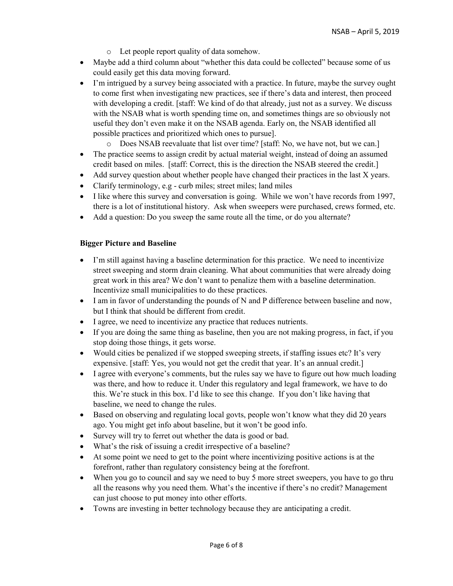- o Let people report quality of data somehow.
- Maybe add a third column about "whether this data could be collected" because some of us could easily get this data moving forward.
- I'm intrigued by a survey being associated with a practice. In future, maybe the survey ought to come first when investigating new practices, see if there's data and interest, then proceed with developing a credit. [staff: We kind of do that already, just not as a survey. We discuss with the NSAB what is worth spending time on, and sometimes things are so obviously not useful they don't even make it on the NSAB agenda. Early on, the NSAB identified all possible practices and prioritized which ones to pursue].

o Does NSAB reevaluate that list over time? [staff: No, we have not, but we can.]

- The practice seems to assign credit by actual material weight, instead of doing an assumed credit based on miles. [staff: Correct, this is the direction the NSAB steered the credit.]
- Add survey question about whether people have changed their practices in the last X years.
- Clarify terminology, e.g curb miles; street miles; land miles
- I like where this survey and conversation is going. While we won't have records from 1997, there is a lot of institutional history. Ask when sweepers were purchased, crews formed, etc.
- Add a question: Do you sweep the same route all the time, or do you alternate?

#### **Bigger Picture and Baseline**

- I'm still against having a baseline determination for this practice. We need to incentivize street sweeping and storm drain cleaning. What about communities that were already doing great work in this area? We don't want to penalize them with a baseline determination. Incentivize small municipalities to do these practices.
- I am in favor of understanding the pounds of N and P difference between baseline and now, but I think that should be different from credit.
- I agree, we need to incentivize any practice that reduces nutrients.
- If you are doing the same thing as baseline, then you are not making progress, in fact, if you stop doing those things, it gets worse.
- Would cities be penalized if we stopped sweeping streets, if staffing issues etc? It's very expensive. [staff: Yes, you would not get the credit that year. It's an annual credit.]
- I agree with everyone's comments, but the rules say we have to figure out how much loading was there, and how to reduce it. Under this regulatory and legal framework, we have to do this. We're stuck in this box. I'd like to see this change. If you don't like having that baseline, we need to change the rules.
- Based on observing and regulating local govts, people won't know what they did 20 years ago. You might get info about baseline, but it won't be good info.
- Survey will try to ferret out whether the data is good or bad.
- What's the risk of issuing a credit irrespective of a baseline?
- At some point we need to get to the point where incentivizing positive actions is at the forefront, rather than regulatory consistency being at the forefront.
- When you go to council and say we need to buy 5 more street sweepers, you have to go thru all the reasons why you need them. What's the incentive if there's no credit? Management can just choose to put money into other efforts.
- Towns are investing in better technology because they are anticipating a credit.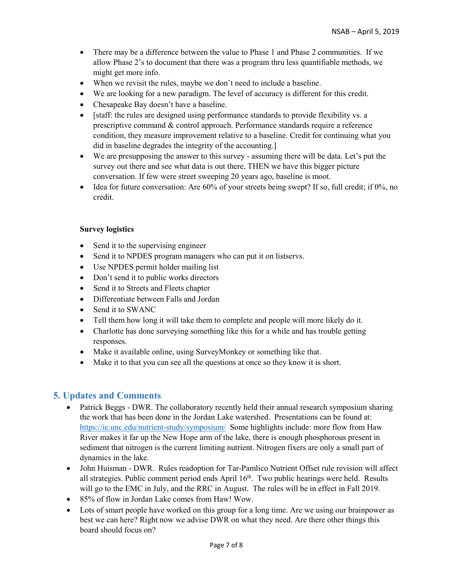- There may be a difference between the value to Phase 1 and Phase 2 communities. If we allow Phase 2's to document that there was a program thru less quantifiable methods, we might get more info.
- When we revisit the rules, maybe we don't need to include a baseline.
- We are looking for a new paradigm. The level of accuracy is different for this credit.
- Chesapeake Bay doesn't have a baseline.
- [staff: the rules are designed using performance standards to provide flexibility vs. a prescriptive command & control approach. Performance standards require a reference condition, they measure improvement relative to a baseline. Credit for continuing what you did in baseline degrades the integrity of the accounting.]
- We are presupposing the answer to this survey assuming there will be data. Let's put the survey out there and see what data is out there, THEN we have this bigger picture conversation. If few were street sweeping 20 years ago, baseline is moot.
- Idea for future conversation: Are 60% of your streets being swept? If so, full credit; if 0%, no credit.

#### **Survey logistics**

- Send it to the supervising engineer
- Send it to NPDES program managers who can put it on listservs.
- Use NPDES permit holder mailing list
- Don't send it to public works directors
- Send it to Streets and Fleets chapter
- Differentiate between Falls and Jordan
- Send it to SWANC
- Tell them how long it will take them to complete and people will more likely do it.
- Charlotte has done surveying something like this for a while and has trouble getting responses.
- Make it available online, using SurveyMonkey or something like that.
- Make it to that you can see all the questions at once so they know it is short.

#### **5. Updates and Comments**

- Patrick Beggs DWR. The collaboratory recently held their annual research symposium sharing the work that has been done in the Jordan Lake watershed. Presentations can be found at: <https://ie.unc.edu/nutrient-study/symposium/>Some highlights include: more flow from Haw River makes it far up the New Hope arm of the lake, there is enough phosphorous present in sediment that nitrogen is the current limiting nutrient. Nitrogen fixers are only a small part of dynamics in the lake.
- John Huisman DWR. Rules readoption for Tar-Pamlico Nutrient Offset rule revision will affect all strategies. Public comment period ends April 16<sup>th</sup>. Two public hearings were held. Results will go to the EMC in July, and the RRC in August. The rules will be in effect in Fall 2019.
- 85% of flow in Jordan Lake comes from Haw! Wow.
- Lots of smart people have worked on this group for a long time. Are we using our brainpower as best we can here? Right now we advise DWR on what they need. Are there other things this board should focus on?